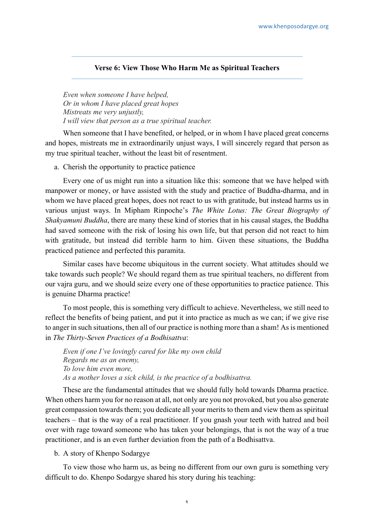## **Verse 6: View Those Who Harm Me as Spiritual Teachers**

*Even when someone I have helped, Or in whom I have placed great hopes Mistreats me very unjustly, I will view that person as a true spiritual teacher.*

When someone that I have benefited, or helped, or in whom I have placed great concerns and hopes, mistreats me in extraordinarily unjust ways, I will sincerely regard that person as my true spiritual teacher, without the least bit of resentment.

a. Cherish the opportunity to practice patience

Every one of us might run into a situation like this: someone that we have helped with manpower or money, or have assisted with the study and practice of Buddha-dharma, and in whom we have placed great hopes, does not react to us with gratitude, but instead harms us in various unjust ways. In Mipham Rinpoche's *The White Lotus: The Great Biography of Shakyamuni Buddha*, there are many these kind of stories that in his causal stages, the Buddha had saved someone with the risk of losing his own life, but that person did not react to him with gratitude, but instead did terrible harm to him. Given these situations, the Buddha practiced patience and perfected this paramita.

Similar cases have become ubiquitous in the current society. What attitudes should we take towards such people? We should regard them as true spiritual teachers, no different from our vajra guru, and we should seize every one of these opportunities to practice patience. This is genuine Dharma practice!

To most people, this is something very difficult to achieve. Nevertheless, we still need to reflect the benefits of being patient, and put it into practice as much as we can; if we give rise to anger in such situations, then all of our practice is nothing more than a sham! As is mentioned in *The Thirty-Seven Practices of a Bodhisattva*:

*Even if one I've lovingly cared for like my own child Regards me as an enemy, To love him even more, As a mother loves a sick child, is the practice of a bodhisattva.*

These are the fundamental attitudes that we should fully hold towards Dharma practice. When others harm you for no reason at all, not only are you not provoked, but you also generate great compassion towards them; you dedicate all your merits to them and view them as spiritual teachers – that is the way of a real practitioner. If you gnash your teeth with hatred and boil over with rage toward someone who has taken your belongings, that is not the way of a true practitioner, and is an even further deviation from the path of a Bodhisattva.

b. A story of Khenpo Sodargye

To view those who harm us, as being no different from our own guru is something very difficult to do. Khenpo Sodargye shared his story during his teaching: